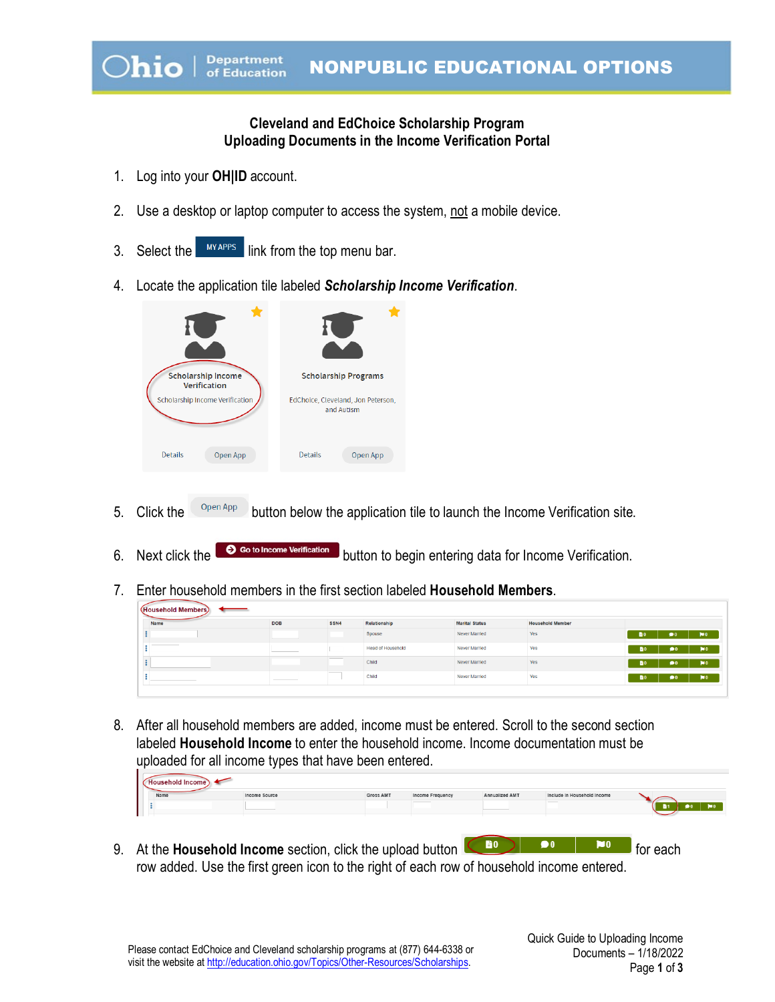## **Cleveland and EdChoice Scholarship Program Uploading Documents in the Income Verification Portal**

- 1. Log into your **OH|ID** account.
- 2. Use a desktop or laptop computer to access the system, not a mobile device.
- 3. Select the **MYAPPS** link from the top menu bar.
- 4. Locate the application tile labeled *Scholarship Income Verification*.



- 5. Click the  $\Box$   $\Box$  button below the application tile to launch the Income Verification site.
- 6. Next click the  $\bigcirc$  so to Income Verification button to begin entering data for Income Verification.
- 7. Enter household members in the first section labeled **Household Members**.

| (Household Members) |                                                                                                                                                                                                                                                                                                                                                                                                                                                                                      |                          |               |                       |                                                |                           |  |  |  |  |
|---------------------|--------------------------------------------------------------------------------------------------------------------------------------------------------------------------------------------------------------------------------------------------------------------------------------------------------------------------------------------------------------------------------------------------------------------------------------------------------------------------------------|--------------------------|---------------|-----------------------|------------------------------------------------|---------------------------|--|--|--|--|
| <b>DOB</b>          | SSN4                                                                                                                                                                                                                                                                                                                                                                                                                                                                                 |                          |               |                       |                                                |                           |  |  |  |  |
|                     |                                                                                                                                                                                                                                                                                                                                                                                                                                                                                      | Spouse                   | Never Married | Yes                   | $\bullet$<br>B٥                                | $\blacksquare$            |  |  |  |  |
|                     | $\frac{1}{2} \left( \frac{1}{2} \right) \left( \frac{1}{2} \right) \left( \frac{1}{2} \right) \left( \frac{1}{2} \right) \left( \frac{1}{2} \right) \left( \frac{1}{2} \right) \left( \frac{1}{2} \right) \left( \frac{1}{2} \right) \left( \frac{1}{2} \right) \left( \frac{1}{2} \right) \left( \frac{1}{2} \right) \left( \frac{1}{2} \right) \left( \frac{1}{2} \right) \left( \frac{1}{2} \right) \left( \frac{1}{2} \right) \left( \frac{1}{2} \right) \left( \frac$<br>$\sim$ | <b>Head of Household</b> | Never Married | Yes                   | $\bullet$<br>m <sub>0</sub>                    | $\mathbf{M}$ <sub>0</sub> |  |  |  |  |
|                     | _____<br><b>Service Controllers</b>                                                                                                                                                                                                                                                                                                                                                                                                                                                  | Child                    | Never Married | Yes                   | 60<br>$\bullet$                                | $\mathbf{N}$ <sub>0</sub> |  |  |  |  |
|                     |                                                                                                                                                                                                                                                                                                                                                                                                                                                                                      | Child                    | Never Married | Yes                   | <b>B0</b><br>$\overline{\bullet}$ <sub>0</sub> | $\blacksquare$            |  |  |  |  |
|                     |                                                                                                                                                                                                                                                                                                                                                                                                                                                                                      |                          | Relationship  | <b>Marital Status</b> | <b>Household Member</b>                        |                           |  |  |  |  |

8. After all household members are added, income must be entered. Scroll to the second section labeled **Household Income** to enter the household income. Income documentation must be uploaded for all income types that have been entered.

| Name | Income Source | <b>Gross AMT</b> | Income Frequency | Annualized AMT | Include in Household Income |  |
|------|---------------|------------------|------------------|----------------|-----------------------------|--|
|      |               |                  |                  |                |                             |  |

9. At the **Household Income** section, click the upload button **For the Community** for each row added. Use the first green icon to the right of each row of household income entered.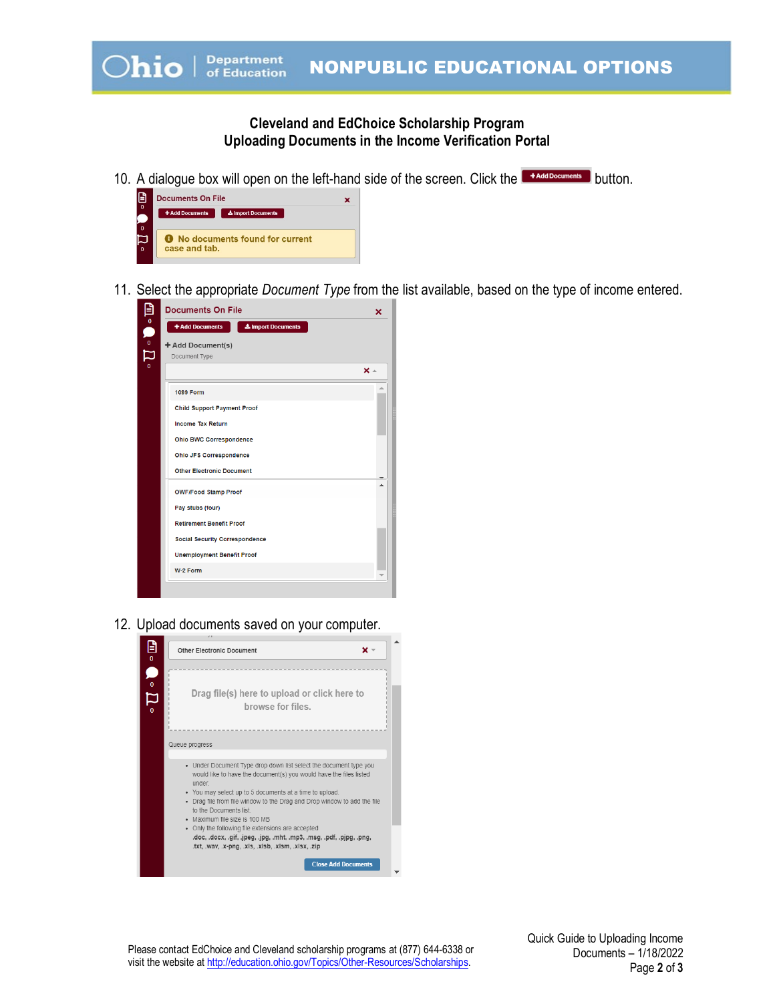## **Cleveland and EdChoice Scholarship Program Uploading Documents in the Income Verification Portal**

10. A dialogue box will open on the left-hand side of the screen. Click the **Buth Andd Documents** button.



11. Select the appropriate *Document Type* from the list available, based on the type of income entered.



12. Upload documents saved on your computer.